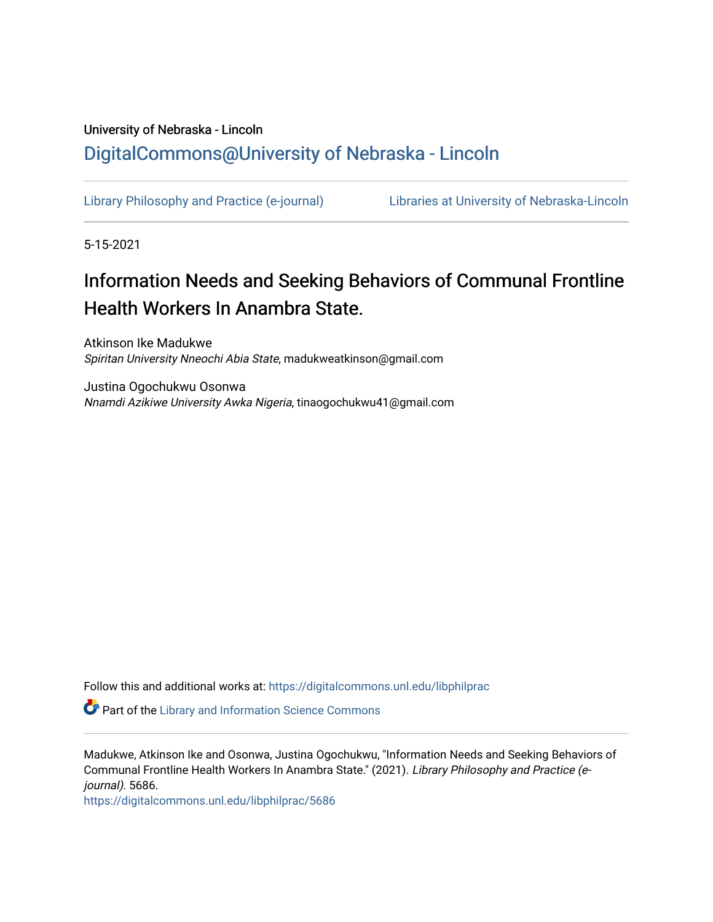## University of Nebraska - Lincoln [DigitalCommons@University of Nebraska - Lincoln](https://digitalcommons.unl.edu/)

[Library Philosophy and Practice \(e-journal\)](https://digitalcommons.unl.edu/libphilprac) [Libraries at University of Nebraska-Lincoln](https://digitalcommons.unl.edu/libraries) 

5-15-2021

# Information Needs and Seeking Behaviors of Communal Frontline Health Workers In Anambra State.

Atkinson Ike Madukwe Spiritan University Nneochi Abia State, madukweatkinson@gmail.com

Justina Ogochukwu Osonwa Nnamdi Azikiwe University Awka Nigeria, tinaogochukwu41@gmail.com

Follow this and additional works at: [https://digitalcommons.unl.edu/libphilprac](https://digitalcommons.unl.edu/libphilprac?utm_source=digitalcommons.unl.edu%2Flibphilprac%2F5686&utm_medium=PDF&utm_campaign=PDFCoverPages) 

**P** Part of the Library and Information Science Commons

Madukwe, Atkinson Ike and Osonwa, Justina Ogochukwu, "Information Needs and Seeking Behaviors of Communal Frontline Health Workers In Anambra State." (2021). Library Philosophy and Practice (ejournal). 5686.

[https://digitalcommons.unl.edu/libphilprac/5686](https://digitalcommons.unl.edu/libphilprac/5686?utm_source=digitalcommons.unl.edu%2Flibphilprac%2F5686&utm_medium=PDF&utm_campaign=PDFCoverPages)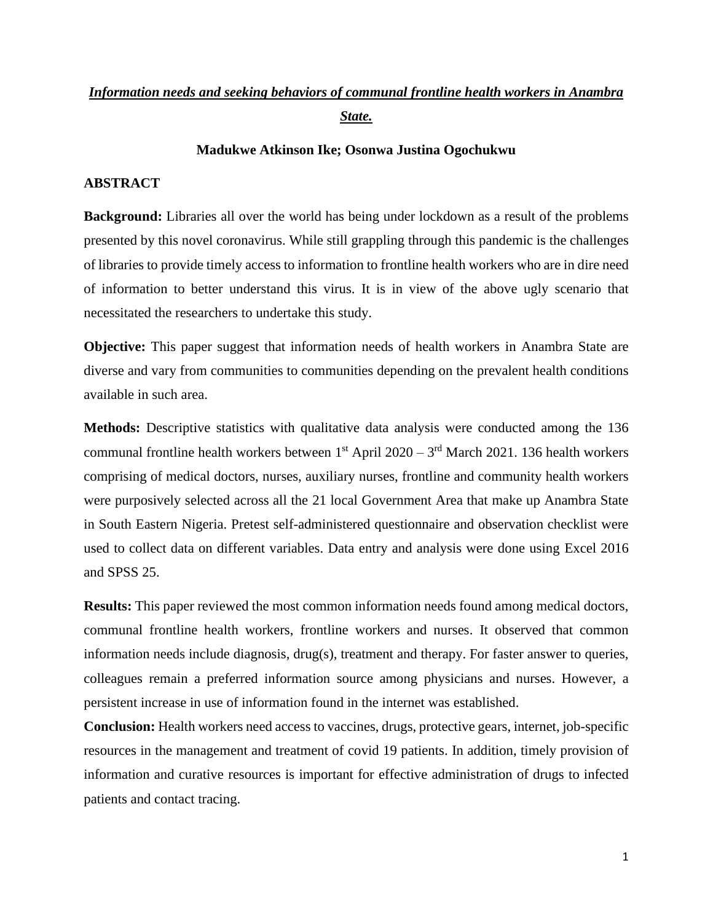### *Information needs and seeking behaviors of communal frontline health workers in Anambra State.*

#### **Madukwe Atkinson Ike; Osonwa Justina Ogochukwu**

#### **ABSTRACT**

**Background:** Libraries all over the world has being under lockdown as a result of the problems presented by this novel coronavirus. While still grappling through this pandemic is the challenges of libraries to provide timely access to information to frontline health workers who are in dire need of information to better understand this virus. It is in view of the above ugly scenario that necessitated the researchers to undertake this study.

**Objective:** This paper suggest that information needs of health workers in Anambra State are diverse and vary from communities to communities depending on the prevalent health conditions available in such area.

**Methods:** Descriptive statistics with qualitative data analysis were conducted among the 136 communal frontline health workers between  $1^{st}$  April 2020 –  $3^{rd}$  March 2021. 136 health workers comprising of medical doctors, nurses, auxiliary nurses, frontline and community health workers were purposively selected across all the 21 local Government Area that make up Anambra State in South Eastern Nigeria. Pretest self-administered questionnaire and observation checklist were used to collect data on different variables. Data entry and analysis were done using Excel 2016 and SPSS 25.

**Results:** This paper reviewed the most common information needs found among medical doctors, communal frontline health workers, frontline workers and nurses. It observed that common information needs include diagnosis, drug(s), treatment and therapy. For faster answer to queries, colleagues remain a preferred information source among physicians and nurses. However, a persistent increase in use of information found in the internet was established.

**Conclusion:** Health workers need access to vaccines, drugs, protective gears, internet, job-specific resources in the management and treatment of covid 19 patients. In addition, timely provision of information and curative resources is important for effective administration of drugs to infected patients and contact tracing.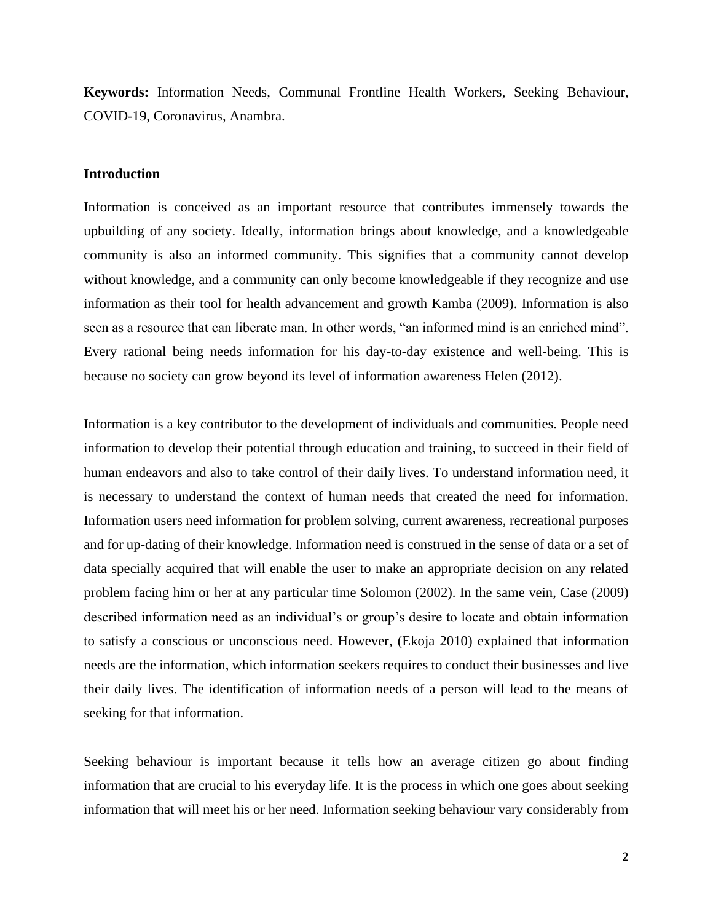**Keywords:** Information Needs, Communal Frontline Health Workers, Seeking Behaviour, COVID-19, Coronavirus, Anambra.

#### **Introduction**

Information is conceived as an important resource that contributes immensely towards the upbuilding of any society. Ideally, information brings about knowledge, and a knowledgeable community is also an informed community. This signifies that a community cannot develop without knowledge, and a community can only become knowledgeable if they recognize and use information as their tool for health advancement and growth Kamba (2009). Information is also seen as a resource that can liberate man. In other words, "an informed mind is an enriched mind". Every rational being needs information for his day-to-day existence and well-being. This is because no society can grow beyond its level of information awareness Helen (2012).

Information is a key contributor to the development of individuals and communities. People need information to develop their potential through education and training, to succeed in their field of human endeavors and also to take control of their daily lives. To understand information need, it is necessary to understand the context of human needs that created the need for information. Information users need information for problem solving, current awareness, recreational purposes and for up-dating of their knowledge. Information need is construed in the sense of data or a set of data specially acquired that will enable the user to make an appropriate decision on any related problem facing him or her at any particular time Solomon (2002). In the same vein, Case (2009) described information need as an individual's or group's desire to locate and obtain information to satisfy a conscious or unconscious need. However, (Ekoja 2010) explained that information needs are the information, which information seekers requires to conduct their businesses and live their daily lives. The identification of information needs of a person will lead to the means of seeking for that information.

Seeking behaviour is important because it tells how an average citizen go about finding information that are crucial to his everyday life. It is the process in which one goes about seeking information that will meet his or her need. Information seeking behaviour vary considerably from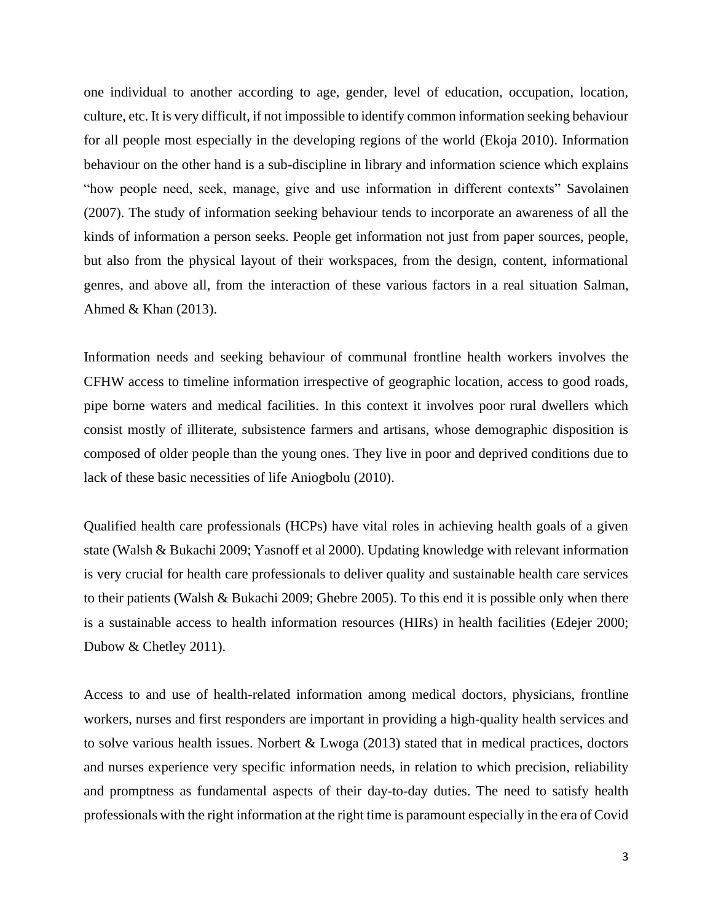one individual to another according to age, gender, level of education, occupation, location, culture, etc. It is very difficult, if not impossible to identify common information seeking behaviour for all people most especially in the developing regions of the world (Ekoja 2010). Information behaviour on the other hand is a sub-discipline in library and information science which explains "how people need, seek, manage, give and use information in different contexts" Savolainen (2007). The study of information seeking behaviour tends to incorporate an awareness of all the kinds of information a person seeks. People get information not just from paper sources, people, but also from the physical layout of their workspaces, from the design, content, informational genres, and above all, from the interaction of these various factors in a real situation Salman, Ahmed & Khan (2013).

Information needs and seeking behaviour of communal frontline health workers involves the CFHW access to timeline information irrespective of geographic location, access to good roads, pipe borne waters and medical facilities. In this context it involves poor rural dwellers which consist mostly of illiterate, subsistence farmers and artisans, whose demographic disposition is composed of older people than the young ones. They live in poor and deprived conditions due to lack of these basic necessities of life Aniogbolu (2010).

Qualified health care professionals (HCPs) have vital roles in achieving health goals of a given state (Walsh & Bukachi 2009; Yasnoff et al 2000). Updating knowledge with relevant information is very crucial for health care professionals to deliver quality and sustainable health care services to their patients (Walsh & Bukachi 2009; Ghebre 2005). To this end it is possible only when there is a sustainable access to health information resources (HIRs) in health facilities (Edejer 2000; Dubow & Chetley 2011).

Access to and use of health-related information among medical doctors, physicians, frontline workers, nurses and first responders are important in providing a high-quality health services and to solve various health issues. Norbert & Lwoga (2013) stated that in medical practices, doctors and nurses experience very specific information needs, in relation to which precision, reliability and promptness as fundamental aspects of their day-to-day duties. The need to satisfy health professionals with the right information at the right time is paramount especially in the era of Covid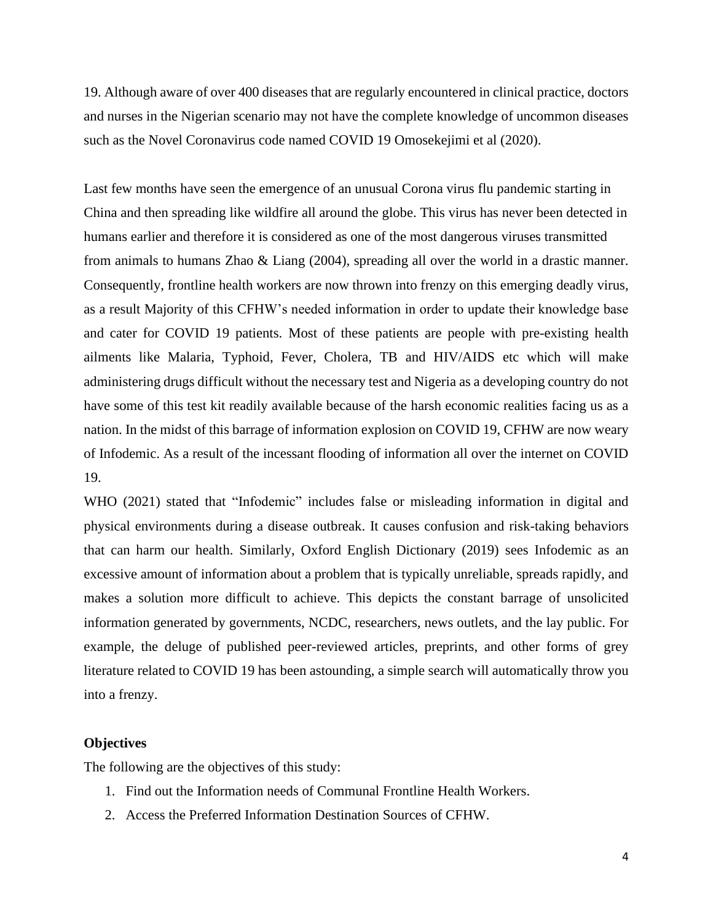19. Although aware of over 400 diseases that are regularly encountered in clinical practice, doctors and nurses in the Nigerian scenario may not have the complete knowledge of uncommon diseases such as the Novel Coronavirus code named COVID 19 Omosekejimi et al (2020).

Last few months have seen the emergence of an unusual Corona virus flu pandemic starting in China and then spreading like wildfire all around the globe. This virus has never been detected in humans earlier and therefore it is considered as one of the most dangerous viruses transmitted from animals to humans Zhao & Liang (2004), spreading all over the world in a drastic manner. Consequently, frontline health workers are now thrown into frenzy on this emerging deadly virus, as a result Majority of this CFHW's needed information in order to update their knowledge base and cater for COVID 19 patients. Most of these patients are people with pre-existing health ailments like Malaria, Typhoid, Fever, Cholera, TB and HIV/AIDS etc which will make administering drugs difficult without the necessary test and Nigeria as a developing country do not have some of this test kit readily available because of the harsh economic realities facing us as a nation. In the midst of this barrage of information explosion on COVID 19, CFHW are now weary of Infodemic. As a result of the incessant flooding of information all over the internet on COVID 19.

WHO (2021) stated that "Infodemic" includes false or misleading information in digital and physical environments during a disease outbreak. It causes confusion and risk-taking behaviors that can harm our health. Similarly, Oxford English Dictionary (2019) sees Infodemic as an excessive amount of information about a problem that is typically unreliable, spreads rapidly, and makes a solution more difficult to achieve. This depicts the constant barrage of unsolicited information generated by governments, NCDC, researchers, news outlets, and the lay public. For example, the deluge of published peer-reviewed articles, preprints, and other forms of grey literature related to COVID 19 has been astounding, a simple search will automatically throw you into a frenzy.

#### **Objectives**

The following are the objectives of this study:

- 1. Find out the Information needs of Communal Frontline Health Workers.
- 2. Access the Preferred Information Destination Sources of CFHW.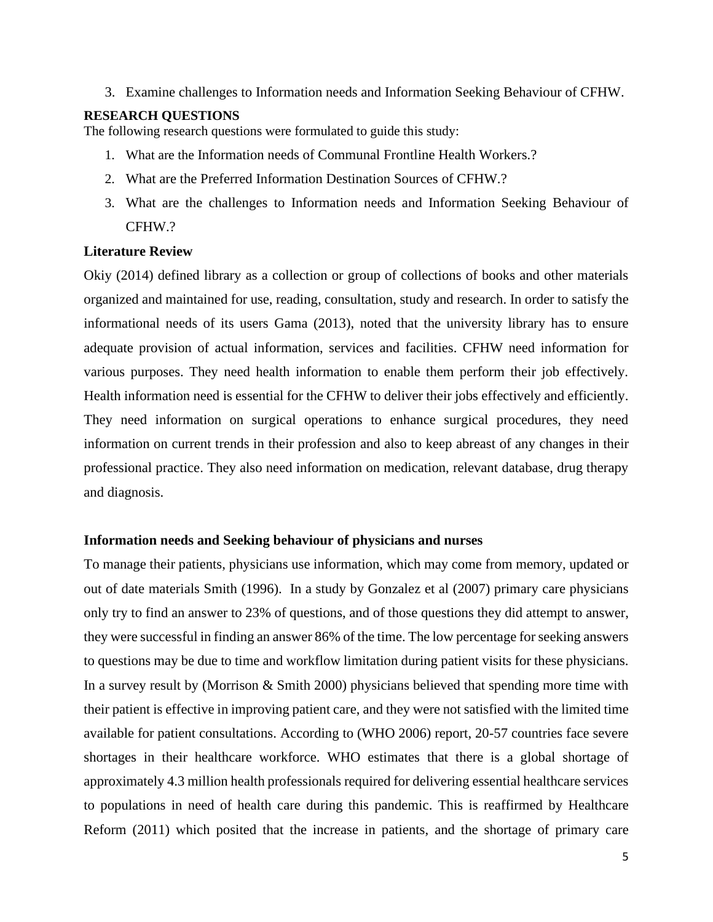3. Examine challenges to Information needs and Information Seeking Behaviour of CFHW.

#### **RESEARCH QUESTIONS**

The following research questions were formulated to guide this study:

- 1. What are the Information needs of Communal Frontline Health Workers.?
- 2. What are the Preferred Information Destination Sources of CFHW.?
- 3. What are the challenges to Information needs and Information Seeking Behaviour of CFHW.?

#### **Literature Review**

Okiy (2014) defined library as a collection or group of collections of books and other materials organized and maintained for use, reading, consultation, study and research. In order to satisfy the informational needs of its users Gama (2013), noted that the university library has to ensure adequate provision of actual information, services and facilities. CFHW need information for various purposes. They need health information to enable them perform their job effectively. Health information need is essential for the CFHW to deliver their jobs effectively and efficiently. They need information on surgical operations to enhance surgical procedures, they need information on current trends in their profession and also to keep abreast of any changes in their professional practice. They also need information on medication, relevant database, drug therapy and diagnosis.

#### **Information needs and Seeking behaviour of physicians and nurses**

To manage their patients, physicians use information, which may come from memory, updated or out of date materials Smith (1996). In a study by Gonzalez et al (2007) primary care physicians only try to find an answer to 23% of questions, and of those questions they did attempt to answer, they were successful in finding an answer 86% of the time. The low percentage for seeking answers to questions may be due to time and workflow limitation during patient visits for these physicians. In a survey result by (Morrison & Smith 2000) physicians believed that spending more time with their patient is effective in improving patient care, and they were not satisfied with the limited time available for patient consultations. According to (WHO 2006) report, 20-57 countries face severe shortages in their healthcare workforce. WHO estimates that there is a global shortage of approximately 4.3 million health professionals required for delivering essential healthcare services to populations in need of health care during this pandemic. This is reaffirmed by Healthcare Reform (2011) which posited that the increase in patients, and the shortage of primary care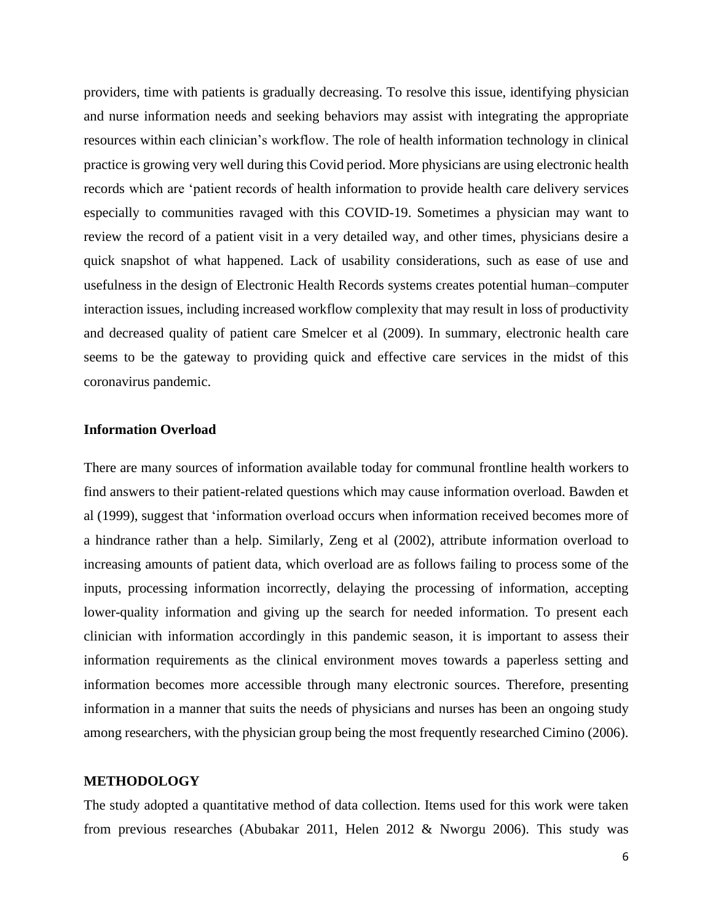providers, time with patients is gradually decreasing. To resolve this issue, identifying physician and nurse information needs and seeking behaviors may assist with integrating the appropriate resources within each clinician's workflow. The role of health information technology in clinical practice is growing very well during this Covid period. More physicians are using electronic health records which are 'patient records of health information to provide health care delivery services especially to communities ravaged with this COVID-19. Sometimes a physician may want to review the record of a patient visit in a very detailed way, and other times, physicians desire a quick snapshot of what happened. Lack of usability considerations, such as ease of use and usefulness in the design of Electronic Health Records systems creates potential human–computer interaction issues, including increased workflow complexity that may result in loss of productivity and decreased quality of patient care Smelcer et al (2009). In summary, electronic health care seems to be the gateway to providing quick and effective care services in the midst of this coronavirus pandemic.

#### **Information Overload**

There are many sources of information available today for communal frontline health workers to find answers to their patient-related questions which may cause information overload. Bawden et al (1999), suggest that 'information overload occurs when information received becomes more of a hindrance rather than a help. Similarly, Zeng et al (2002), attribute information overload to increasing amounts of patient data, which overload are as follows failing to process some of the inputs, processing information incorrectly, delaying the processing of information, accepting lower-quality information and giving up the search for needed information. To present each clinician with information accordingly in this pandemic season, it is important to assess their information requirements as the clinical environment moves towards a paperless setting and information becomes more accessible through many electronic sources. Therefore, presenting information in a manner that suits the needs of physicians and nurses has been an ongoing study among researchers, with the physician group being the most frequently researched Cimino (2006).

#### **METHODOLOGY**

The study adopted a quantitative method of data collection. Items used for this work were taken from previous researches (Abubakar 2011, Helen 2012 & Nworgu 2006). This study was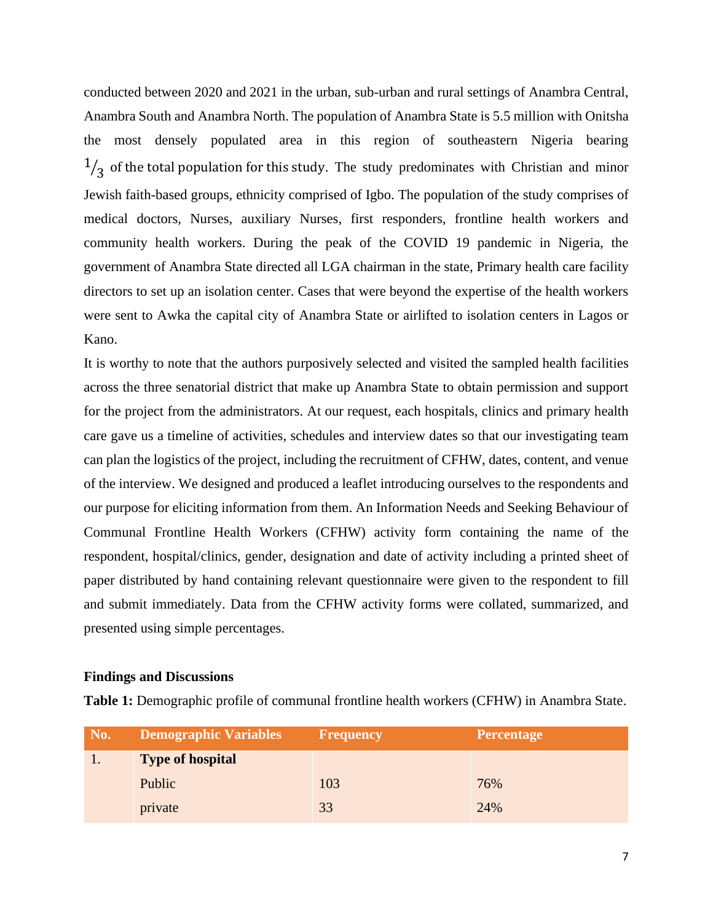conducted between 2020 and 2021 in the urban, sub-urban and rural settings of Anambra Central, Anambra South and Anambra North. The population of Anambra State is 5.5 million with Onitsha the most densely populated area in this region of southeastern Nigeria bearing 1  $\sqrt{3}$  of the total population for this study. The study predominates with Christian and minor Jewish faith-based groups, ethnicity comprised of Igbo. The population of the study comprises of medical doctors, Nurses, auxiliary Nurses, first responders, frontline health workers and community health workers. During the peak of the COVID 19 pandemic in Nigeria, the government of Anambra State directed all LGA chairman in the state, Primary health care facility directors to set up an isolation center. Cases that were beyond the expertise of the health workers were sent to Awka the capital city of Anambra State or airlifted to isolation centers in Lagos or Kano.

It is worthy to note that the authors purposively selected and visited the sampled health facilities across the three senatorial district that make up Anambra State to obtain permission and support for the project from the administrators. At our request, each hospitals, clinics and primary health care gave us a timeline of activities, schedules and interview dates so that our investigating team can plan the logistics of the project, including the recruitment of CFHW, dates, content, and venue of the interview. We designed and produced a leaflet introducing ourselves to the respondents and our purpose for eliciting information from them. An Information Needs and Seeking Behaviour of Communal Frontline Health Workers (CFHW) activity form containing the name of the respondent, hospital/clinics, gender, designation and date of activity including a printed sheet of paper distributed by hand containing relevant questionnaire were given to the respondent to fill and submit immediately. Data from the CFHW activity forms were collated, summarized, and presented using simple percentages.

#### **Findings and Discussions**

|  |  | Table 1: Demographic profile of communal frontline health workers (CFHW) in Anambra State. |  |  |  |  |  |  |  |  |  |
|--|--|--------------------------------------------------------------------------------------------|--|--|--|--|--|--|--|--|--|
|--|--|--------------------------------------------------------------------------------------------|--|--|--|--|--|--|--|--|--|

| No. | <b>Demographic Variables</b> | <b>Frequency</b> | <b>Percentage</b> |
|-----|------------------------------|------------------|-------------------|
|     | <b>Type of hospital</b>      |                  |                   |
|     | Public                       | 103              | 76%               |
|     | private                      | 33               | 24%               |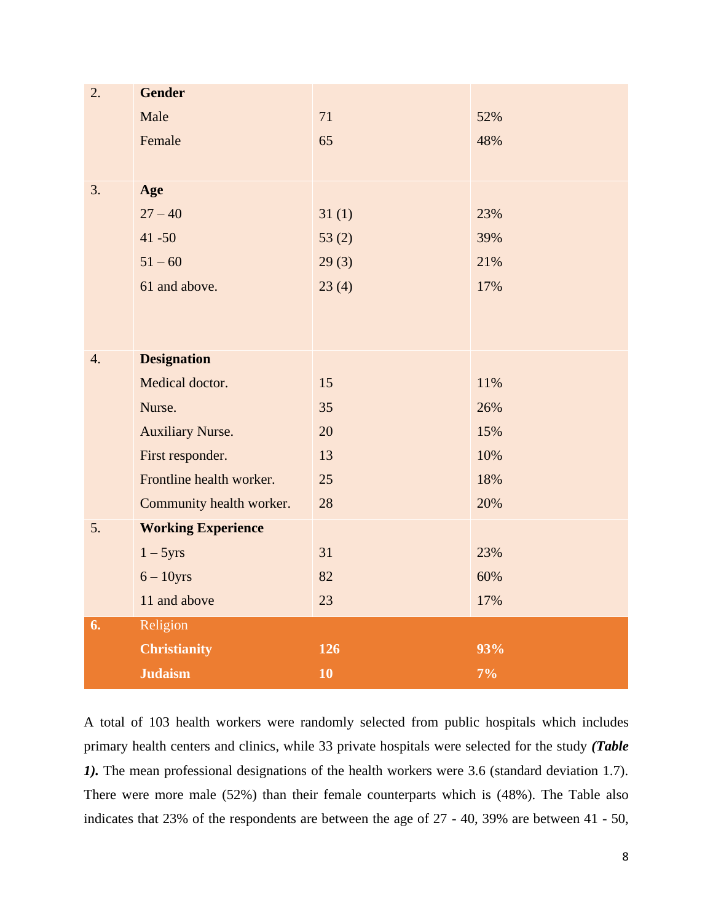| 2. | <b>Gender</b>             |       |       |
|----|---------------------------|-------|-------|
|    | Male                      | 71    | 52%   |
|    | Female                    | 65    | 48%   |
|    |                           |       |       |
| 3. | Age                       |       |       |
|    | $27 - 40$                 | 31(1) | 23%   |
|    | $41 - 50$                 | 53(2) | 39%   |
|    | $51 - 60$                 | 29(3) | 21%   |
|    | 61 and above.             | 23(4) | 17%   |
|    |                           |       |       |
|    |                           |       |       |
| 4. | <b>Designation</b>        |       |       |
|    | Medical doctor.           | 15    | 11%   |
|    | Nurse.                    | 35    | 26%   |
|    | <b>Auxiliary Nurse.</b>   | 20    | 15%   |
|    | First responder.          | 13    | 10%   |
|    | Frontline health worker.  | 25    | 18%   |
|    | Community health worker.  | 28    | 20%   |
| 5. | <b>Working Experience</b> |       |       |
|    | $1 - 5yrs$                | 31    | 23%   |
|    | $6 - 10$ yrs              | 82    | 60%   |
|    | 11 and above              | 23    | 17%   |
| 6. | Religion                  |       |       |
|    | <b>Christianity</b>       | 126   | 93%   |
|    | <b>Judaism</b>            | 10    | $7\%$ |

A total of 103 health workers were randomly selected from public hospitals which includes primary health centers and clinics, while 33 private hospitals were selected for the study *(Table 1).* The mean professional designations of the health workers were 3.6 (standard deviation 1.7). There were more male (52%) than their female counterparts which is (48%). The Table also indicates that 23% of the respondents are between the age of 27 - 40, 39% are between 41 - 50,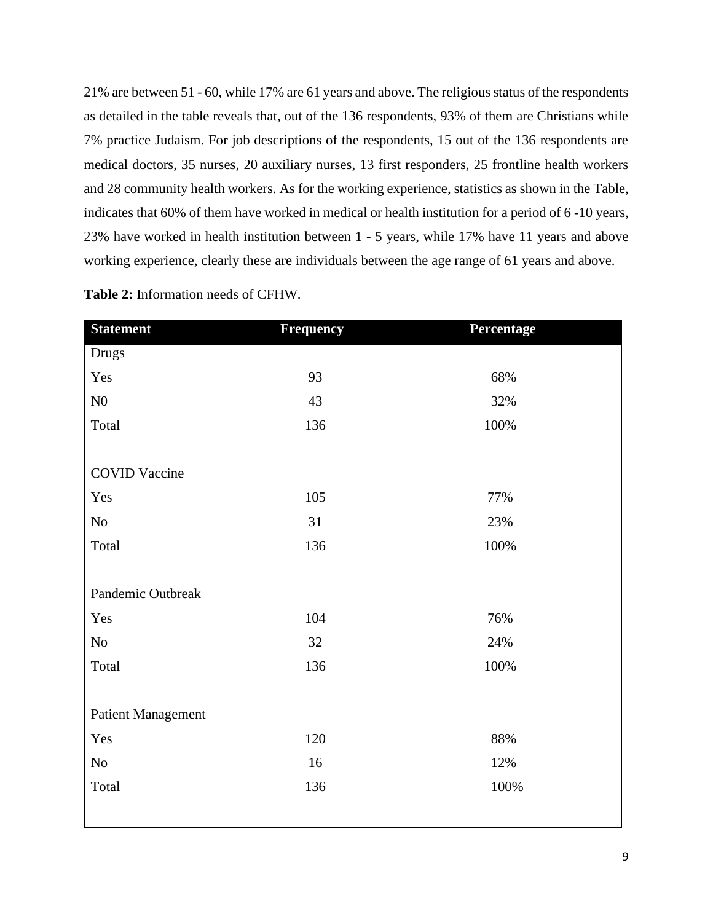21% are between 51 - 60, while 17% are 61 years and above. The religious status of the respondents as detailed in the table reveals that, out of the 136 respondents, 93% of them are Christians while 7% practice Judaism. For job descriptions of the respondents, 15 out of the 136 respondents are medical doctors, 35 nurses, 20 auxiliary nurses, 13 first responders, 25 frontline health workers and 28 community health workers. As for the working experience, statistics as shown in the Table, indicates that 60% of them have worked in medical or health institution for a period of 6 -10 years, 23% have worked in health institution between 1 - 5 years, while 17% have 11 years and above working experience, clearly these are individuals between the age range of 61 years and above.

| <b>Statement</b>          | <b>Frequency</b> | Percentage |
|---------------------------|------------------|------------|
| Drugs                     |                  |            |
| Yes                       | 93               | 68%        |
| ${\rm N0}$                | 43               | 32%        |
| Total                     | 136              | 100%       |
|                           |                  |            |
| <b>COVID Vaccine</b>      |                  |            |
| Yes                       | 105              | 77%        |
| $\rm No$                  | 31               | 23%        |
| Total                     | 136              | 100%       |
|                           |                  |            |
| Pandemic Outbreak         |                  |            |
| Yes                       | 104              | 76%        |
| $\rm No$                  | 32               | 24%        |
| Total                     | 136              | 100%       |
|                           |                  |            |
| <b>Patient Management</b> |                  |            |
| Yes                       | 120              | 88%        |
| $\rm No$                  | 16               | 12%        |
| Total                     | 136              | 100%       |
|                           |                  |            |

**Table 2:** Information needs of CFHW.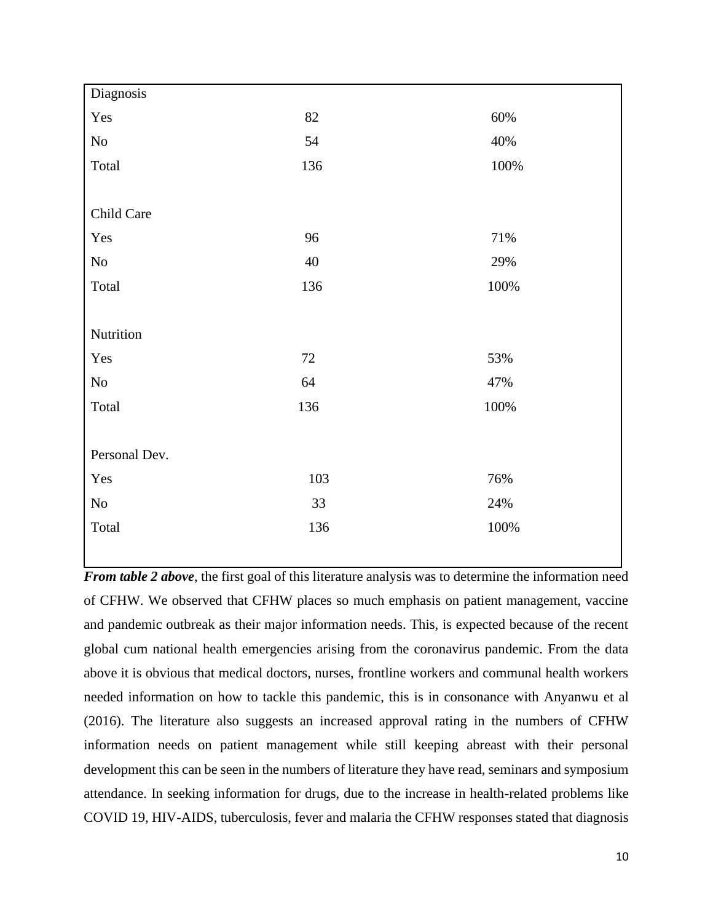| Diagnosis     |     |         |
|---------------|-----|---------|
| Yes           | 82  | 60%     |
| $\rm No$      | 54  | 40%     |
| Total         | 136 | $100\%$ |
|               |     |         |
| Child Care    |     |         |
| Yes           | 96  | $71\%$  |
| $\rm No$      | 40  | 29%     |
| Total         | 136 | 100%    |
|               |     |         |
| Nutrition     |     |         |
| Yes           | 72  | 53%     |
| $\rm No$      | 64  | 47%     |
| Total         | 136 | $100\%$ |
|               |     |         |
| Personal Dev. |     |         |
| Yes           | 103 | 76%     |
| $\rm No$      | 33  | 24%     |
| Total         | 136 | 100%    |
|               |     |         |

*From table 2 above*, the first goal of this literature analysis was to determine the information need of CFHW. We observed that CFHW places so much emphasis on patient management, vaccine and pandemic outbreak as their major information needs. This, is expected because of the recent global cum national health emergencies arising from the coronavirus pandemic. From the data above it is obvious that medical doctors, nurses, frontline workers and communal health workers needed information on how to tackle this pandemic, this is in consonance with Anyanwu et al (2016). The literature also suggests an increased approval rating in the numbers of CFHW information needs on patient management while still keeping abreast with their personal development this can be seen in the numbers of literature they have read, seminars and symposium attendance. In seeking information for drugs, due to the increase in health-related problems like COVID 19, HIV-AIDS, tuberculosis, fever and malaria the CFHW responses stated that diagnosis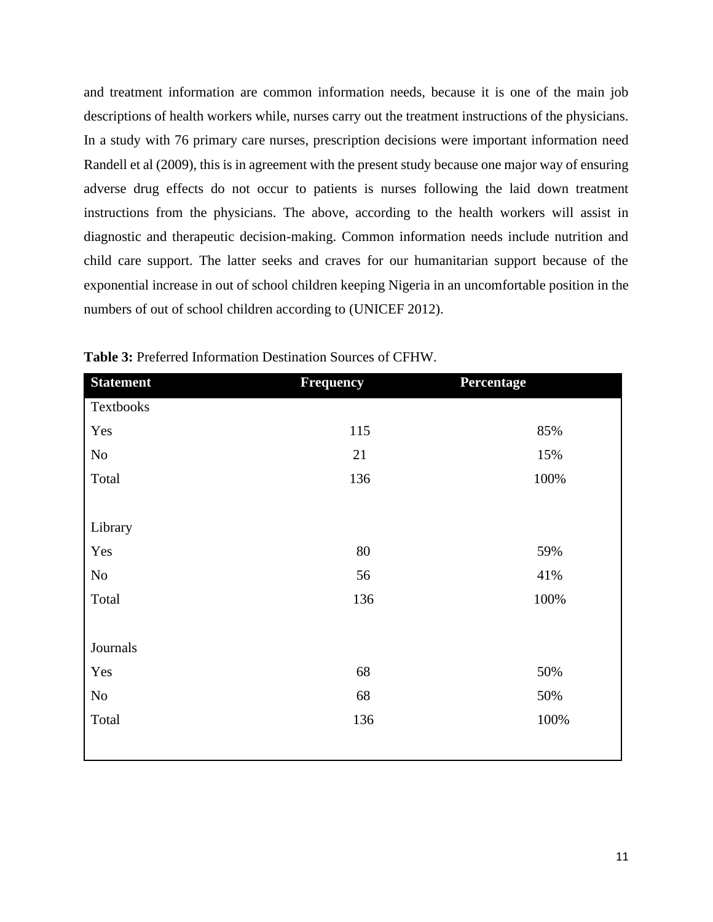and treatment information are common information needs, because it is one of the main job descriptions of health workers while, nurses carry out the treatment instructions of the physicians. In a study with 76 primary care nurses, prescription decisions were important information need Randell et al (2009), this is in agreement with the present study because one major way of ensuring adverse drug effects do not occur to patients is nurses following the laid down treatment instructions from the physicians. The above, according to the health workers will assist in diagnostic and therapeutic decision-making. Common information needs include nutrition and child care support. The latter seeks and craves for our humanitarian support because of the exponential increase in out of school children keeping Nigeria in an uncomfortable position in the numbers of out of school children according to (UNICEF 2012).

| <b>Statement</b> | <b>Frequency</b> | Percentage |
|------------------|------------------|------------|
| Textbooks        |                  |            |
| Yes              | 115              | 85%        |
| No               | 21               | 15%        |
| Total            | 136              | 100%       |
|                  |                  |            |
| Library          |                  |            |
| Yes              | 80               | 59%        |
| $\rm No$         | 56               | 41%        |
| Total            | 136              | 100%       |
|                  |                  |            |
| Journals         |                  |            |
| Yes              | 68               | 50%        |
| $\rm No$         | 68               | 50%        |
| Total            | 136              | 100%       |
|                  |                  |            |

**Table 3:** Preferred Information Destination Sources of CFHW.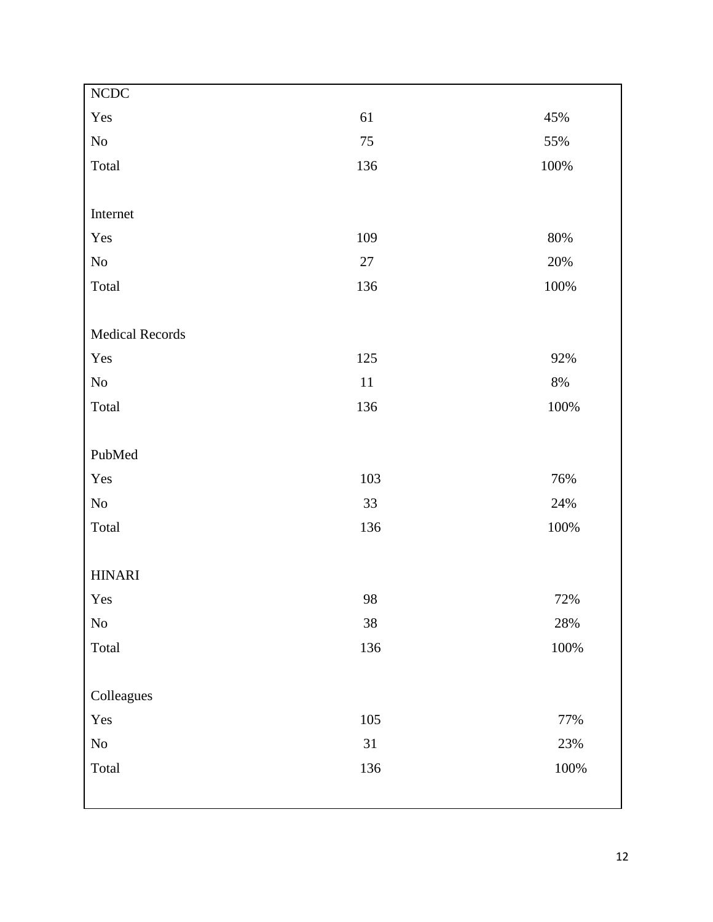| NCDC                   |         |         |
|------------------------|---------|---------|
| Yes                    | 61      | 45%     |
| $\rm No$               | $75\,$  | 55%     |
| Total                  | 136     | $100\%$ |
|                        |         |         |
| Internet               |         |         |
| Yes                    | 109     | $80\%$  |
| $\rm No$               | $27\,$  | $20\%$  |
| Total                  | 136     | $100\%$ |
|                        |         |         |
| <b>Medical Records</b> |         |         |
| Yes                    | 125     | 92%     |
| $\rm No$               | $11\,$  | $8\%$   |
| Total                  | 136     | 100%    |
|                        |         |         |
| PubMed                 |         |         |
| Yes                    | 103     | 76%     |
| $\rm No$               | 33      | 24%     |
| Total                  | 136     | $100\%$ |
|                        |         |         |
| <b>HINARI</b>          |         |         |
| Yes                    | 98      | 72%     |
| $\rm No$               | $38\,$  | $28\%$  |
| Total                  | 136     | 100%    |
|                        |         |         |
| Colleagues             |         |         |
| Yes                    | $105\,$ | 77%     |
| $\rm No$               | 31      | 23%     |
| Total                  | 136     | $100\%$ |
|                        |         |         |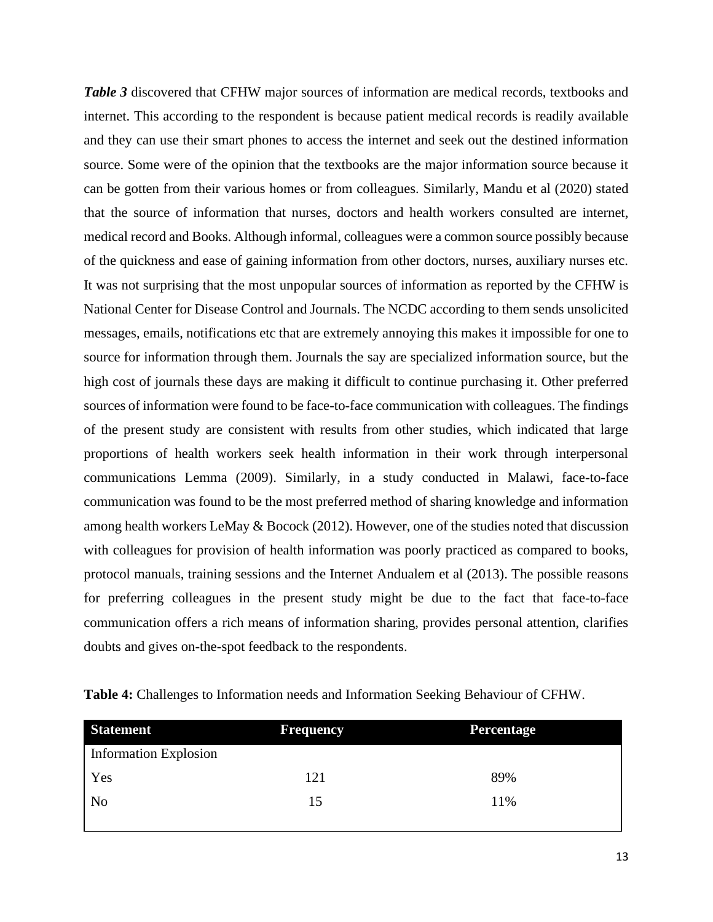*Table 3* discovered that CFHW major sources of information are medical records, textbooks and internet. This according to the respondent is because patient medical records is readily available and they can use their smart phones to access the internet and seek out the destined information source. Some were of the opinion that the textbooks are the major information source because it can be gotten from their various homes or from colleagues. Similarly, Mandu et al (2020) stated that the source of information that nurses, doctors and health workers consulted are internet, medical record and Books. Although informal, colleagues were a common source possibly because of the quickness and ease of gaining information from other doctors, nurses, auxiliary nurses etc. It was not surprising that the most unpopular sources of information as reported by the CFHW is National Center for Disease Control and Journals. The NCDC according to them sends unsolicited messages, emails, notifications etc that are extremely annoying this makes it impossible for one to source for information through them. Journals the say are specialized information source, but the high cost of journals these days are making it difficult to continue purchasing it. Other preferred sources of information were found to be face-to-face communication with colleagues. The findings of the present study are consistent with results from other studies, which indicated that large proportions of health workers seek health information in their work through interpersonal communications Lemma (2009). Similarly, in a study conducted in Malawi, face-to-face communication was found to be the most preferred method of sharing knowledge and information among health workers LeMay & Bocock (2012). However, one of the studies noted that discussion with colleagues for provision of health information was poorly practiced as compared to books, protocol manuals, training sessions and the Internet Andualem et al (2013). The possible reasons for preferring colleagues in the present study might be due to the fact that face-to-face communication offers a rich means of information sharing, provides personal attention, clarifies doubts and gives on-the-spot feedback to the respondents.

| <b>Statement</b>      | <b>Frequency</b> | <b>Percentage</b> |  |  |
|-----------------------|------------------|-------------------|--|--|
| Information Explosion |                  |                   |  |  |
| Yes                   | 121              | 89%               |  |  |
| No                    | 15               | 11%               |  |  |

| Table 4: Challenges to Information needs and Information Seeking Behaviour of CFHW. |  |  |
|-------------------------------------------------------------------------------------|--|--|
|-------------------------------------------------------------------------------------|--|--|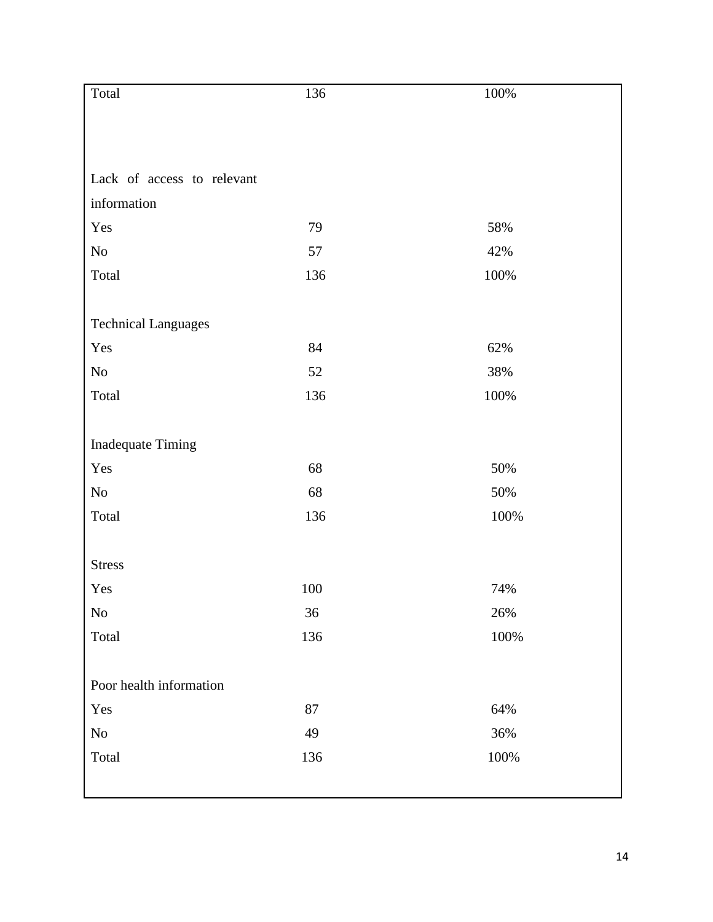| Total                      | 136    | $100\%$ |
|----------------------------|--------|---------|
|                            |        |         |
|                            |        |         |
|                            |        |         |
| Lack of access to relevant |        |         |
| information                |        |         |
| Yes                        | 79     | 58%     |
| $\rm No$                   | 57     | 42%     |
| Total                      | 136    | $100\%$ |
|                            |        |         |
| <b>Technical Languages</b> |        |         |
| Yes                        | 84     | 62%     |
| $\rm No$                   | 52     | 38%     |
| Total                      | 136    | 100%    |
|                            |        |         |
| <b>Inadequate Timing</b>   |        |         |
| Yes                        | 68     | 50%     |
| No                         | 68     | 50%     |
| Total                      | 136    | 100%    |
|                            |        |         |
| <b>Stress</b>              |        |         |
| Yes                        | 100    | 74%     |
| $\rm No$                   | $36\,$ | 26%     |
| Total                      | 136    | $100\%$ |
|                            |        |         |
| Poor health information    |        |         |
| Yes                        | $87\,$ | 64%     |
| $\rm No$                   | 49     | 36%     |
| Total                      | 136    | $100\%$ |
|                            |        |         |
|                            |        |         |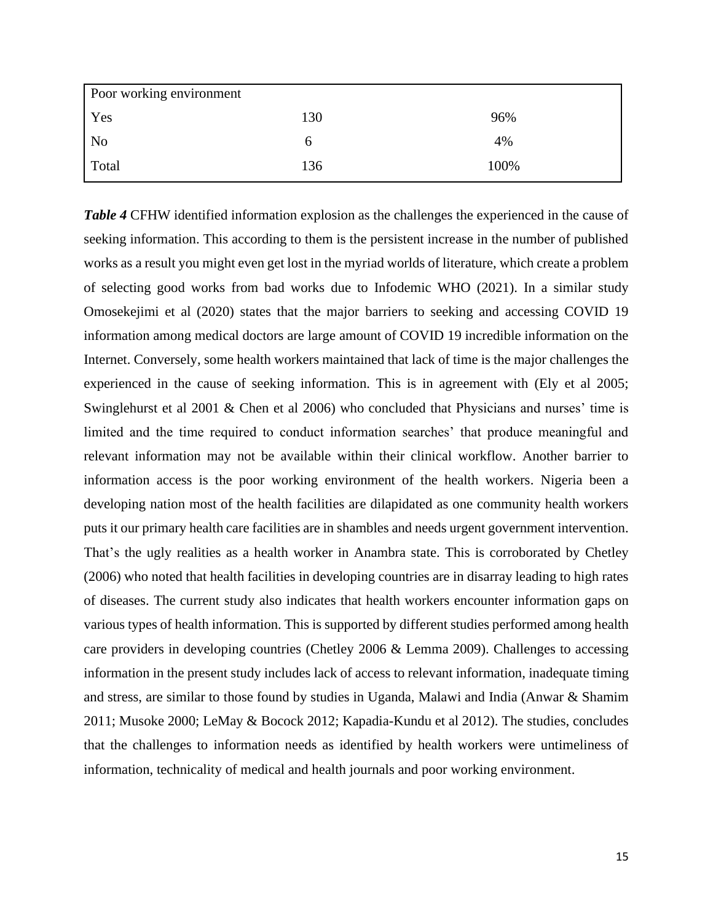| Poor working environment |     |      |
|--------------------------|-----|------|
| Yes                      | 130 | 96%  |
| N <sub>0</sub>           |     | 4%   |
| Total                    | 136 | 100% |

*Table 4* CFHW identified information explosion as the challenges the experienced in the cause of seeking information. This according to them is the persistent increase in the number of published works as a result you might even get lost in the myriad worlds of literature, which create a problem of selecting good works from bad works due to Infodemic WHO (2021). In a similar study Omosekejimi et al (2020) states that the major barriers to seeking and accessing COVID 19 information among medical doctors are large amount of COVID 19 incredible information on the Internet. Conversely, some health workers maintained that lack of time is the major challenges the experienced in the cause of seeking information. This is in agreement with (Ely et al 2005; Swinglehurst et al 2001 & Chen et al 2006) who concluded that Physicians and nurses' time is limited and the time required to conduct information searches' that produce meaningful and relevant information may not be available within their clinical workflow. Another barrier to information access is the poor working environment of the health workers. Nigeria been a developing nation most of the health facilities are dilapidated as one community health workers puts it our primary health care facilities are in shambles and needs urgent government intervention. That's the ugly realities as a health worker in Anambra state. This is corroborated by Chetley (2006) who noted that health facilities in developing countries are in disarray leading to high rates of diseases. The current study also indicates that health workers encounter information gaps on various types of health information. This is supported by different studies performed among health care providers in developing countries (Chetley 2006 & Lemma 2009). Challenges to accessing information in the present study includes lack of access to relevant information, inadequate timing and stress, are similar to those found by studies in Uganda, Malawi and India (Anwar & Shamim 2011; Musoke 2000; LeMay & Bocock 2012; Kapadia-Kundu et al 2012). The studies, concludes that the challenges to information needs as identified by health workers were untimeliness of information, technicality of medical and health journals and poor working environment.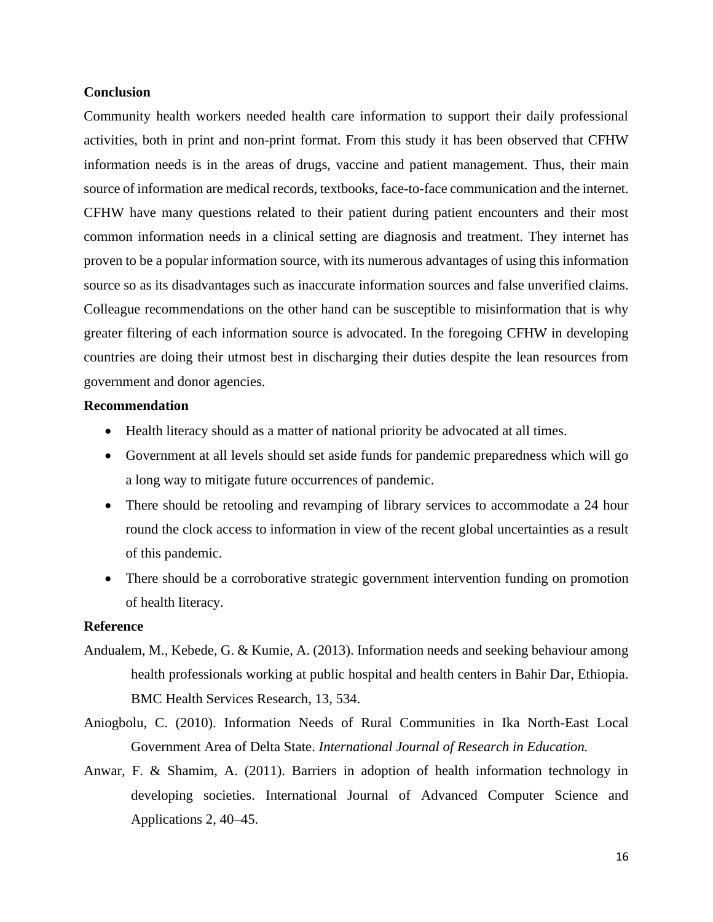#### **Conclusion**

Community health workers needed health care information to support their daily professional activities, both in print and non-print format. From this study it has been observed that CFHW information needs is in the areas of drugs, vaccine and patient management. Thus, their main source of information are medical records, textbooks, face-to-face communication and the internet. CFHW have many questions related to their patient during patient encounters and their most common information needs in a clinical setting are diagnosis and treatment. They internet has proven to be a popular information source, with its numerous advantages of using this information source so as its disadvantages such as inaccurate information sources and false unverified claims. Colleague recommendations on the other hand can be susceptible to misinformation that is why greater filtering of each information source is advocated. In the foregoing CFHW in developing countries are doing their utmost best in discharging their duties despite the lean resources from government and donor agencies.

#### **Recommendation**

- Health literacy should as a matter of national priority be advocated at all times.
- Government at all levels should set aside funds for pandemic preparedness which will go a long way to mitigate future occurrences of pandemic.
- There should be retooling and revamping of library services to accommodate a 24 hour round the clock access to information in view of the recent global uncertainties as a result of this pandemic.
- There should be a corroborative strategic government intervention funding on promotion of health literacy.

#### **Reference**

- Andualem, M., Kebede, G. & Kumie, A. (2013). Information needs and seeking behaviour among health professionals working at public hospital and health centers in Bahir Dar, Ethiopia. BMC Health Services Research, 13, 534.
- Aniogbolu, C. (2010). Information Needs of Rural Communities in Ika North-East Local Government Area of Delta State. *International Journal of Research in Education.*
- Anwar, F. & Shamim, A. (2011). Barriers in adoption of health information technology in developing societies. International Journal of Advanced Computer Science and Applications 2, 40–45.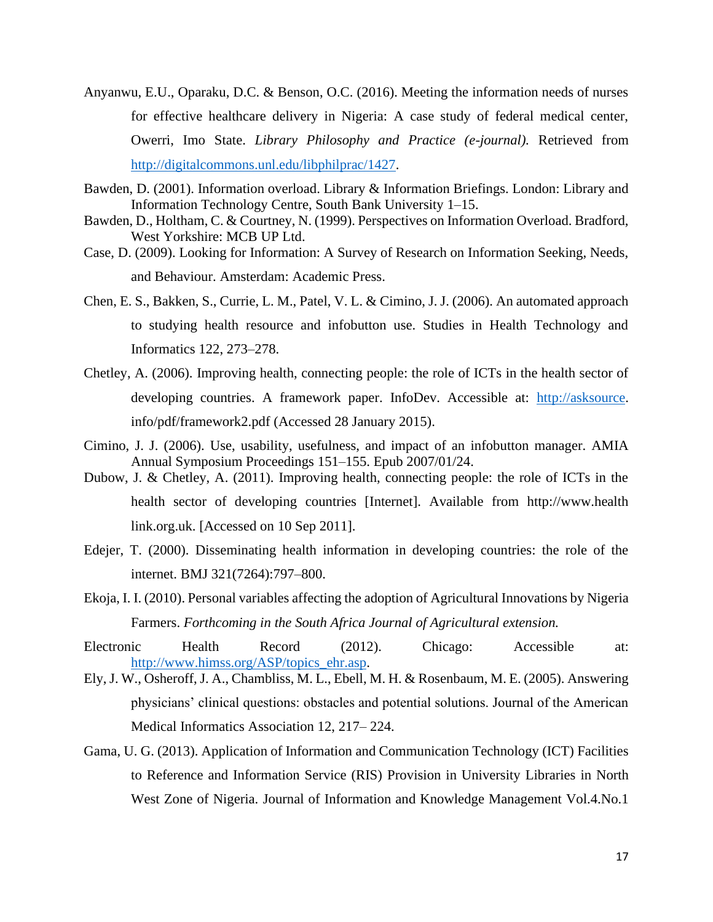- Anyanwu, E.U., Oparaku, D.C. & Benson, O.C. (2016). Meeting the information needs of nurses for effective healthcare delivery in Nigeria: A case study of federal medical center, Owerri, Imo State. *Library Philosophy and Practice (e-journal).* Retrieved from [http://digitalcommons.unl.edu/libphilprac/1427.](http://digitalcommons.unl.edu/libphilprac/1427)
- Bawden, D. (2001). Information overload. Library & Information Briefings. London: Library and Information Technology Centre, South Bank University 1–15.
- Bawden, D., Holtham, C. & Courtney, N. (1999). Perspectives on Information Overload. Bradford, West Yorkshire: MCB UP Ltd.
- Case, D. (2009). Looking for Information: A Survey of Research on Information Seeking, Needs, and Behaviour. Amsterdam: Academic Press.
- Chen, E. S., Bakken, S., Currie, L. M., Patel, V. L. & Cimino, J. J. (2006). An automated approach to studying health resource and infobutton use. Studies in Health Technology and Informatics 122, 273–278.
- Chetley, A. (2006). Improving health, connecting people: the role of ICTs in the health sector of developing countries. A framework paper. InfoDev. Accessible at: [http://asksource.](http://asksource/) info/pdf/framework2.pdf (Accessed 28 January 2015).
- Cimino, J. J. (2006). Use, usability, usefulness, and impact of an infobutton manager. AMIA Annual Symposium Proceedings 151–155. Epub 2007/01/24.
- Dubow, J. & Chetley, A. (2011). Improving health, connecting people: the role of ICTs in the health sector of developing countries [Internet]. Available from http://www.health link.org.uk. [Accessed on 10 Sep 2011].
- Edejer, T. (2000). Disseminating health information in developing countries: the role of the internet. BMJ 321(7264):797–800.
- Ekoja, I. I. (2010). Personal variables affecting the adoption of Agricultural Innovations by Nigeria Farmers. *Forthcoming in the South Africa Journal of Agricultural extension.*
- Electronic Health Record (2012). Chicago: Accessible at: [http://www.himss.org/ASP/topics\\_ehr.asp.](http://www.himss.org/ASP/topics_ehr.asp)
- Ely, J. W., Osheroff, J. A., Chambliss, M. L., Ebell, M. H. & Rosenbaum, M. E. (2005). Answering physicians' clinical questions: obstacles and potential solutions. Journal of the American Medical Informatics Association 12, 217– 224.
- Gama, U. G. (2013). Application of Information and Communication Technology (ICT) Facilities to Reference and Information Service (RIS) Provision in University Libraries in North West Zone of Nigeria. Journal of Information and Knowledge Management Vol.4.No.1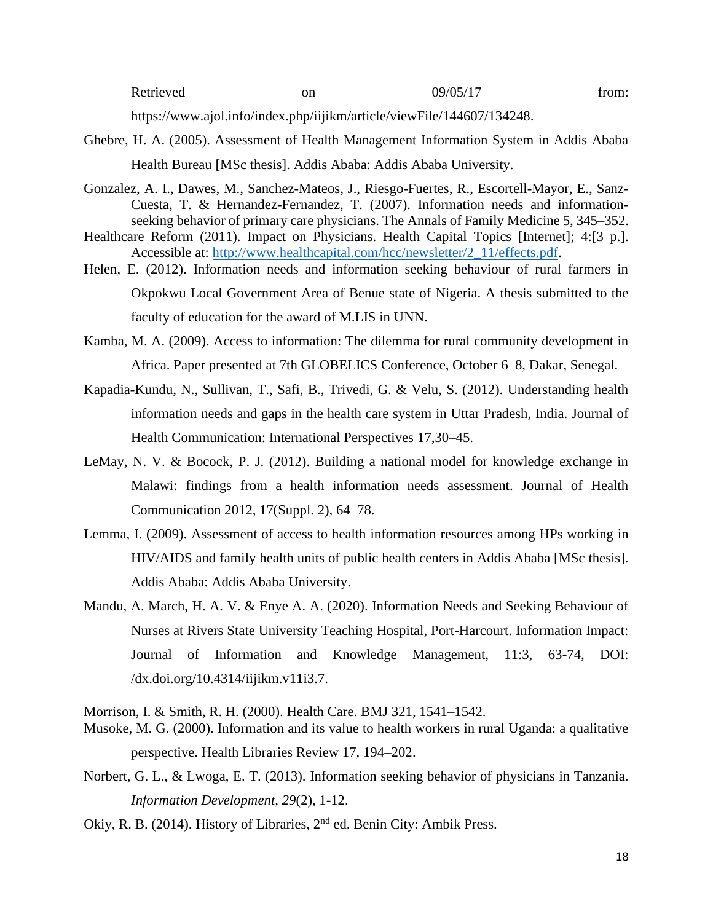| Retrieved | on | 09/05/17 | trom: |
|-----------|----|----------|-------|
|-----------|----|----------|-------|

https://www.ajol.info/index.php/iijikm/article/viewFile/144607/134248.

- Ghebre, H. A. (2005). Assessment of Health Management Information System in Addis Ababa Health Bureau [MSc thesis]. Addis Ababa: Addis Ababa University.
- Gonzalez, A. I., Dawes, M., Sanchez-Mateos, J., Riesgo-Fuertes, R., Escortell-Mayor, E., Sanz-Cuesta, T. & Hernandez-Fernandez, T. (2007). Information needs and informationseeking behavior of primary care physicians. The Annals of Family Medicine 5, 345–352.
- Healthcare Reform (2011). Impact on Physicians. Health Capital Topics [Internet]; 4:[3 p.]. Accessible at: [http://www.healthcapital.com/hcc/newsletter/2\\_11/effects.pdf.](http://www.healthcapital.com/hcc/newsletter/2_11/effects.pdf)
- Helen, E. (2012). Information needs and information seeking behaviour of rural farmers in Okpokwu Local Government Area of Benue state of Nigeria. A thesis submitted to the faculty of education for the award of M.LIS in UNN.
- Kamba, M. A. (2009). Access to information: The dilemma for rural community development in Africa. Paper presented at 7th GLOBELICS Conference, October 6–8, Dakar, Senegal.
- Kapadia-Kundu, N., Sullivan, T., Safi, B., Trivedi, G. & Velu, S. (2012). Understanding health information needs and gaps in the health care system in Uttar Pradesh, India. Journal of Health Communication: International Perspectives 17,30–45.
- LeMay, N. V. & Bocock, P. J. (2012). Building a national model for knowledge exchange in Malawi: findings from a health information needs assessment. Journal of Health Communication 2012, 17(Suppl. 2), 64–78.
- Lemma, I. (2009). Assessment of access to health information resources among HPs working in HIV/AIDS and family health units of public health centers in Addis Ababa [MSc thesis]. Addis Ababa: Addis Ababa University.
- Mandu, A. March, H. A. V. & Enye A. A. (2020). Information Needs and Seeking Behaviour of Nurses at Rivers State University Teaching Hospital, Port-Harcourt. Information Impact: Journal of Information and Knowledge Management, 11:3, 63-74, DOI: /dx.doi.org/10.4314/iijikm.v11i3.7.

Morrison, I. & Smith, R. H. (2000). Health Care. BMJ 321, 1541–1542.

- Musoke, M. G. (2000). Information and its value to health workers in rural Uganda: a qualitative perspective. Health Libraries Review 17, 194–202.
- Norbert, G. L., & Lwoga, E. T. (2013). Information seeking behavior of physicians in Tanzania. *Information Development, 29*(2), 1-12.
- Okiy, R. B. (2014). History of Libraries, 2<sup>nd</sup> ed. Benin City: Ambik Press.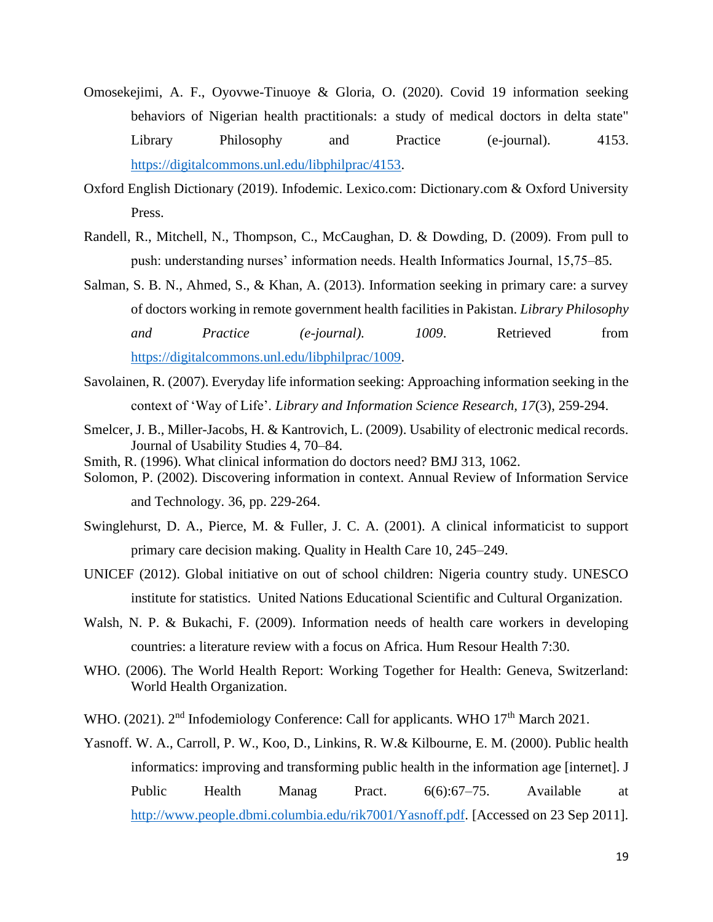- Omosekejimi, A. F., Oyovwe-Tinuoye & Gloria, O. (2020). Covid 19 information seeking behaviors of Nigerian health practitionals: a study of medical doctors in delta state" Library Philosophy and Practice (e-journal). 4153. [https://digitalcommons.unl.edu/libphilprac/4153.](https://digitalcommons.unl.edu/libphilprac/4153)
- Oxford English Dictionary (2019). Infodemic. Lexico.com: Dictionary.com & Oxford University Press.
- Randell, R., Mitchell, N., Thompson, C., McCaughan, D. & Dowding, D. (2009). From pull to push: understanding nurses' information needs. Health Informatics Journal, 15,75–85.
- Salman, S. B. N., Ahmed, S., & Khan, A. (2013). Information seeking in primary care: a survey of doctors working in remote government health facilities in Pakistan. *Library Philosophy and Practice (e-journal). 1009*. Retrieved from [https://digitalcommons.unl.edu/libphilprac/1009.](https://digitalcommons.unl.edu/libphilprac/1009)
- Savolainen, R. (2007). Everyday life information seeking: Approaching information seeking in the context of 'Way of Life'. *Library and Information Science Research, 17*(3), 259-294.
- Smelcer, J. B., Miller-Jacobs, H. & Kantrovich, L. (2009). Usability of electronic medical records. Journal of Usability Studies 4, 70–84.
- Smith, R. (1996). What clinical information do doctors need? BMJ 313, 1062.
- Solomon, P. (2002). Discovering information in context. Annual Review of Information Service and Technology*.* 36, pp. 229-264.
- Swinglehurst, D. A., Pierce, M. & Fuller, J. C. A. (2001). A clinical informaticist to support primary care decision making. Quality in Health Care 10, 245–249.
- UNICEF (2012). Global initiative on out of school children: Nigeria country study. UNESCO institute for statistics. United Nations Educational Scientific and Cultural Organization.
- Walsh, N. P. & Bukachi, F. (2009). Information needs of health care workers in developing countries: a literature review with a focus on Africa. Hum Resour Health 7:30.
- WHO. (2006). The World Health Report: Working Together for Health: Geneva, Switzerland: World Health Organization.
- WHO. (2021). 2<sup>nd</sup> Infodemiology Conference: Call for applicants. WHO 17<sup>th</sup> March 2021.
- Yasnoff. W. A., Carroll, P. W., Koo, D., Linkins, R. W.& Kilbourne, E. M. (2000). Public health informatics: improving and transforming public health in the information age [internet]. J Public Health Manag Pract. 6(6):67–75. Available at [http://www.people.dbmi.columbia.edu/rik7001/Yasnoff.pdf.](http://www.people.dbmi.columbia.edu/rik7001/Yasnoff.pdf) [Accessed on 23 Sep 2011].